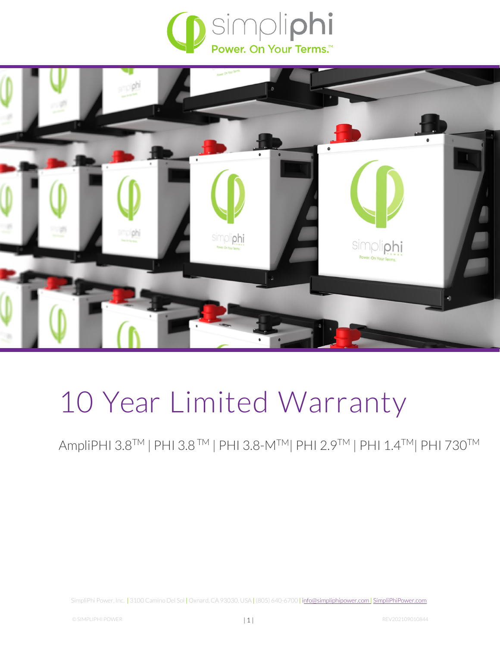



# 10 Year Limited Warranty

AmpliPHI 3.8™ | PHI 3.8™ | PHI 3.8-M™ | PHI 2.9™ | PHI 1.4™ | PHI 730™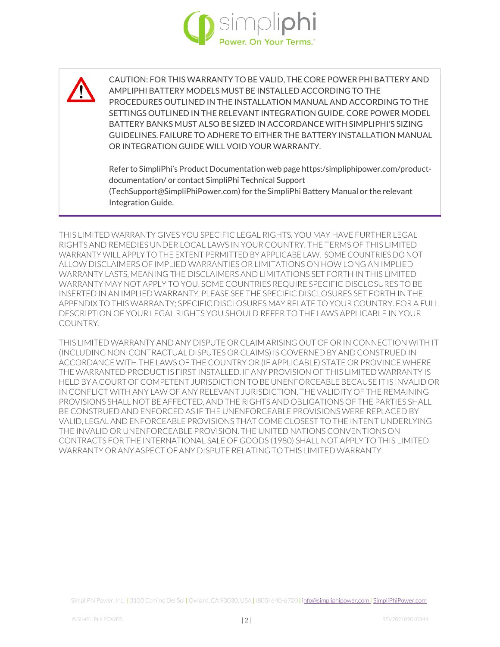

CAUTION: FOR THIS WARRANTY TO BE VALID, THE CORE POWER PHI BATTERY AND AMPLIPHI BATTERY MODELS MUST BE INSTALLED ACCORDING TO THE PROCEDURES OUTLINED IN THE INSTALLATION MANUAL AND ACCORDING TO THE SETTINGS OUTLINED IN THE RELEVANT INTEGRATION GUIDE. CORE POWER MODEL BATTERY BANKS MUST ALSO BE SIZED IN ACCORDANCE WITH SIMPLIPHI'S SIZING GUIDELINES. FAILURE TO ADHERE TO EITHER THE BATTERY INSTALLATION MANUAL OR INTEGRATION GUIDE WILL VOID YOUR WARRANTY.

Refer to SimpliPhi's Product Documentation web page https:/simpliphipower.com/productdocumentation/ or contact SimpliPhi Technical Support (TechSupport@SimpliPhiPower.com) for the SimpliPhi Battery Manual or the relevant Integration Guide.

THIS LIMITED WARRANTY GIVES YOU SPECIFIC LEGAL RIGHTS. YOU MAY HAVE FURTHER LEGAL RIGHTS AND REMEDIES UNDER LOCAL LAWS IN YOUR COUNTRY. THE TERMS OF THIS LIMITED WARRANTY WILL APPLY TO THE EXTENT PERMITTED BY APPLICABE LAW. SOME COUNTRIES DO NOT ALLOW DISCLAIMERS OF IMPLIED WARRANTIES OR LIMITATIONS ON HOW LONG AN IMPLIED WARRANTY LASTS, MEANING THE DISCLAIMERS AND LIMITATIONS SET FORTH IN THIS LIMITED WARRANTY MAY NOT APPLY TO YOU. SOME COUNTRIES REQUIRE SPECIFIC DISCLOSURES TO BE INSERTED IN AN IMPLIED WARRANTY. PLEASE SEE THE SPECIFIC DISCLOSURES SET FORTH IN THE APPENDIX TO THIS WARRANTY; SPECIFIC DISCLOSURES MAY RELATE TO YOUR COUNTRY. FOR A FULL DESCRIPTION OF YOUR LEGAL RIGHTS YOU SHOULD REFER TO THE LAWS APPLICABLE IN YOUR COUNTRY.

THIS LIMITED WARRANTY AND ANY DISPUTE OR CLAIM ARISING OUT OF OR IN CONNECTION WITH IT (INCLUDING NON-CONTRACTUAL DISPUTES OR CLAIMS) IS GOVERNED BY AND CONSTRUED IN ACCORDANCE WITH THE LAWS OF THE COUNTRY OR (IF APPLICABLE) STATE OR PROVINCE WHERE THE WARRANTED PRODUCT IS FIRST INSTALLED. IF ANY PROVISION OF THIS LIMITED WARRANTY IS HELD BY A COURTOF COMPETENT JURISDICTIONTOBE UNENFORCEABLEBECAUSEIT IS INVALIDOR IN CONFLICT WITH ANY LAW OF ANY RELEVANT JURISDICTION, THE VALIDITY OF THE REMAINING PROVISIONS SHALL NOT BE AFFECTED, AND THE RIGHTS AND OBLIGATIONS OF THE PARTIES SHALL BE CONSTRUED AND ENFORCED AS IF THE UNENFORCEABLE PROVISIONS WERE REPLACED BY VALID, LEGAL AND ENFORCEABLE PROVISIONS THAT COME CLOSEST TO THE INTENT UNDERLYING THE INVALID OR UNENFORCEABLE PROVISION. THE UNITED NATIONS CONVENTIONS ON CONTRACTS FOR THE INTERNATIONAL SALE OF GOODS (1980) SHALL NOT APPLY TO THIS LIMITED WARRANTY OR ANYASPECT OF ANY DISPUTE RELATING TOTHIS LIMITEDWARRANTY.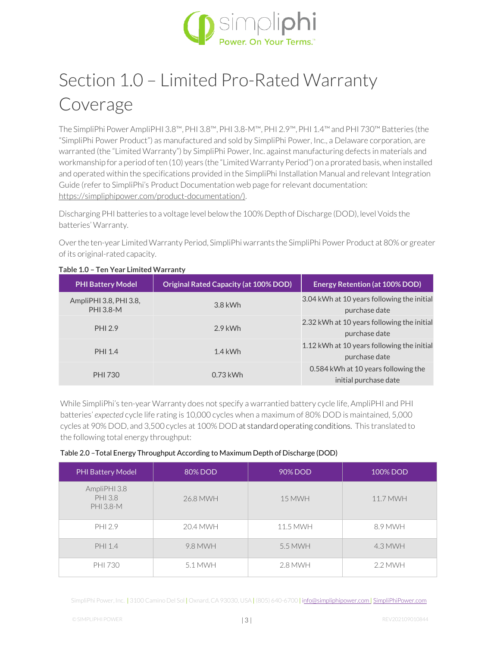

# Section 1.0 – Limited Pro-Rated Warranty Coverage

The SimpliPhi PowerAmpliPHI 3.8™,PHI 3.8™, PHI 3.8-M™, PHI 2.9™,PHI 1.4™ and PHI 730™ Batteries (the "SimpliPhi Power Product") as manufactured and sold by SimpliPhi Power, Inc., a Delaware corporation, are warranted (the "Limited Warranty") by SimpliPhi Power, Inc. against manufacturing defects in materials and workmanship for a period often (10) years (the "Limited Warranty Period") on a prorated basis, when installed and operated within the specifications provided in the SimpliPhi Installation Manual and relevant Integration Guide (refer to SimpliPhi's Product Documentation web page for relevant documentation: [https://simpliphipower.com/product-documentation/\).](https://simpliphipower.com/product-documentation/))

Discharging PHI batteries to a voltage level below the 100% Depth of Discharge (DOD), level Voids the batteries' Warranty.

Overthe ten-year LimitedWarranty Period, SimpliPhi warrants the SimpliPhi Power Product at 80% or greater of its original-rated capacity.

| <b>PHI Battery Model</b>                   | <b>Original Rated Capacity (at 100% DOD)</b> | <b>Energy Retention (at 100% DOD)</b>                        |
|--------------------------------------------|----------------------------------------------|--------------------------------------------------------------|
| AmpliPHI 3.8, PHI 3.8,<br><b>PHI 3.8-M</b> | $3.8$ kWh                                    | 3.04 kWh at 10 years following the initial<br>purchase date  |
| PHI 2.9                                    | $2.9$ kWh                                    | 2.32 kWh at 10 years following the initial<br>purchase date  |
| PHI 1.4                                    | $1.4$ kWh                                    | 1.12 kWh at 10 years following the initial<br>purchase date  |
| <b>PHI 730</b>                             | $0.73$ kWh                                   | 0.584 kWh at 10 years following the<br>initial purchase date |

#### **Table 1.0 – Ten Year Limited Warranty**

While SimpliPhi's ten-year Warranty does not specify a warrantied battery cycle life, AmpliPHI and PHI batteries' *expected* cycle life rating is 10,000 cycles when a maximum of 80% DOD is maintained, 5,000 cycles at 90% DOD, and 3,500 cycles at 100% DOD at standard operating conditions. This translated to the following total energy throughput:

#### Table 2.0 –Total Energy Throughput According to Maximum Depth of Discharge (DOD)

| <b>PHI Battery Model</b>                    | 80% DOD  | 90% DOD       | 100% DOD  |
|---------------------------------------------|----------|---------------|-----------|
| AmpliPHI 3.8<br>PHI 3.8<br><b>PHI 3.8-M</b> | 26.8 MWH | <b>15 MWH</b> | 11.7 MWH  |
| PHI 2.9                                     | 20.4 MWH | 11.5 MWH      | 8.9 MWH   |
| PHI 1.4                                     | 9.8 MWH  | 5.5 MWH       | 4.3 MWH   |
| <b>PHI 730</b>                              | 5.1 MWH  | 2.8 MWH       | $2.2$ MWH |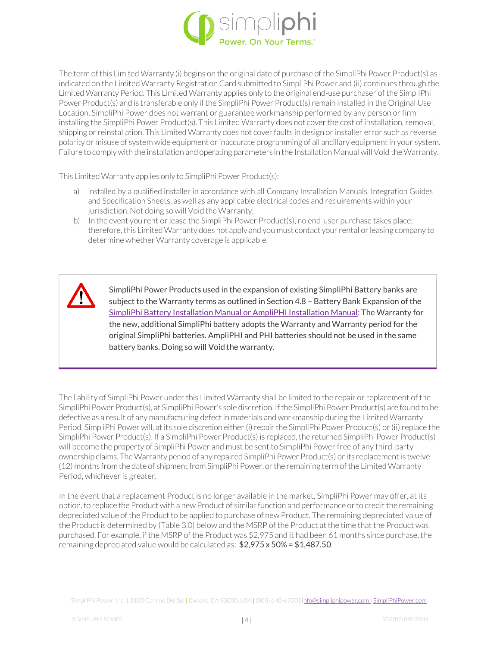

The term of this Limited Warranty (i) begins on the original date of purchase of the SimpliPhi Power Product(s) as indicated on the Limited Warranty Registration Card submitted to SimpliPhi Power and (ii) continues through the Limited Warranty Period. This Limited Warranty applies only to the original end-use purchaser of the SimpliPhi Power Product(s) and is transferable only if the SimpliPhi Power Product(s) remain installed in the Original Use Location. SimpliPhi Power does not warrant or guarantee workmanship performed by any person or firm installing the SimpliPhi Power Product(s). This Limited Warranty does not cover the cost of installation, removal, shipping or reinstallation. This Limited Warranty does not cover faults in design or installer error such as reverse polarity or misuse of system wide equipment or inaccurate programming of all ancillary equipment in your system. Failure to comply with the installation and operating parameters in the Installation Manual will Void the Warranty.

This LimitedWarranty applies only to SimpliPhi Power Product(s):

- a) installed by a qualified installer in accordance with all Company Installation Manuals, Integration Guides and Specification Sheets, as well as any applicable electrical codes and requirements within your jurisdiction. Not doing so will Void the Warranty.
- b) In the event you rent or lease the SimpliPhi Power Product(s), no end-user purchase takes place; therefore, this Limited Warranty does not apply and you must contact your rental or leasing company to determine whether Warranty coverage is applicable.



SimpliPhi Power Products used in the expansion of existing SimpliPhi Battery banks are subject to the Warranty terms as outlined in Section 4.8 – Battery Bank Expansion of the [SimpliPhi Battery Installation Manual or AmpliPHI Installation Manual: T](https://simpliphipower.com/wp-content/uploads/documentation/ampliphi-series/simpliphi-power-ampliphi-3-8-installation-manual.pdf)he Warranty for the new, additional SimpliPhi battery adopts the Warranty and Warranty period for the original SimpliPhi batteries. AmpliPHI and PHI batteries should not be used in the same battery banks. Doing so will Void the warranty.

The liability of SimpliPhi Power under this Limited Warranty shall be limited to the repair or replacement of the SimpliPhi Power Product(s), at SimpliPhi Power's sole discretion. If the SimpliPhi Power Product(s) are found to be defective as a result of any manufacturing defect in materials and workmanship during the Limited Warranty Period, SimpliPhi Power will, at its sole discretion either (i) repair the SimpliPhi Power Product(s) or (ii) replace the SimpliPhi Power Product(s). If a SimpliPhi Power Product(s) is replaced, the returned SimpliPhi Power Product(s) will become the property of SimpliPhi Power and must be sent to SimpliPhi Power free of any third-party ownership claims.TheWarranty period of any repaired SimpliPhi Power Product(s) orits replacementis twelve (12) months from the date of shipment from SimpliPhi Power, or the remaining term of the Limited Warranty Period, whichever is greater.

In the event that a replacement Product is no longer available in the market, SimpliPhi Power may offer, at its option, to replace the Product with a new Product of similar function and performance or to credit the remaining depreciated value of the Product to be applied to purchase of new Product. The remaining depreciated value of the Product is determined by (Table 3.0) below and the MSRP of the Product at the time that the Product was purchased. For example, if the MSRP of the Product was \$2,975 and it had been 61 months since purchase, the remaining depreciated value would be calculated as:  $$2,975 \times 50\% = $1,487.50$ .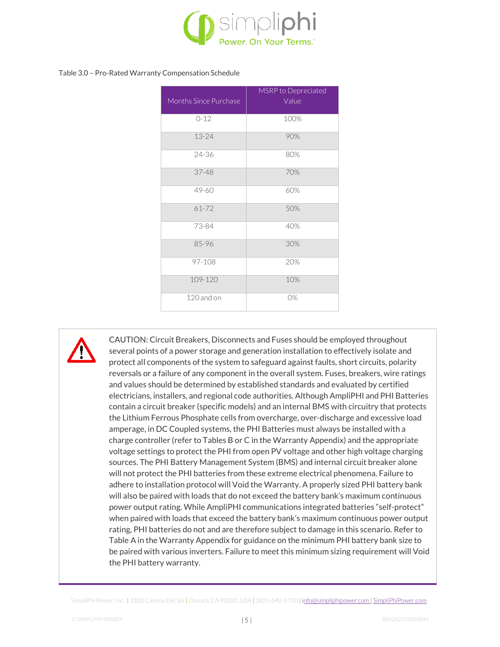

#### Table 3.0 – Pro-Rated Warranty Compensation Schedule

| Months Since Purchase | MSRP to Depreciated<br>Value |
|-----------------------|------------------------------|
|                       |                              |
| $0 - 12$              | 100%                         |
| 13-24                 | 90%                          |
| 24-36                 | 80%                          |
| $37 - 48$             | 70%                          |
| $49 - 60$             | 60%                          |
| $61 - 72$             | 50%                          |
| 73-84                 | 40%                          |
| 85-96                 | 30%                          |
| 97-108                | 20%                          |
| 109-120               | 10%                          |
| $120$ and on          | O%                           |

CAUTION: Circuit Breakers, Disconnects and Fuses should be employed throughout several points of a power storage and generation installation to effectively isolate and protect all components of the system to safeguard against faults, short circuits, polarity reversals or a failure of any component in the overall system. Fuses, breakers, wire ratings and values should be determined by established standards and evaluated by certified electricians, installers, and regional code authorities. Although AmpliPHI and PHI Batteries contain a circuit breaker (specific models) and an internal BMS with circuitry that protects the Lithium Ferrous Phosphate cells from overcharge, over-discharge and excessive load amperage, in DC Coupled systems, the PHI Batteries must always be installed with a charge controller (refer to Tables B or C in the Warranty Appendix) and the appropriate voltage settings to protect the PHI from open PV voltage and other high voltage charging sources. The PHI Battery Management System (BMS) and internal circuit breaker alone will not protect the PHI batteries from these extreme electrical phenomena. Failure to adhere to installation protocol will Void the Warranty. A properly sized PHI battery bank will also be paired with loads that do not exceed the battery bank's maximum continuous power output rating. While AmpliPHI communications integrated batteries "self-protect" when paired with loads that exceed the battery bank's maximum continuous power output rating, PHI batteries do not and are therefore subject to damage in this scenario. Refer to Table A in the Warranty Appendix for guidance on the minimum PHI battery bank size to be paired with various inverters. Failure to meet this minimum sizing requirement will Void the PHI battery warranty.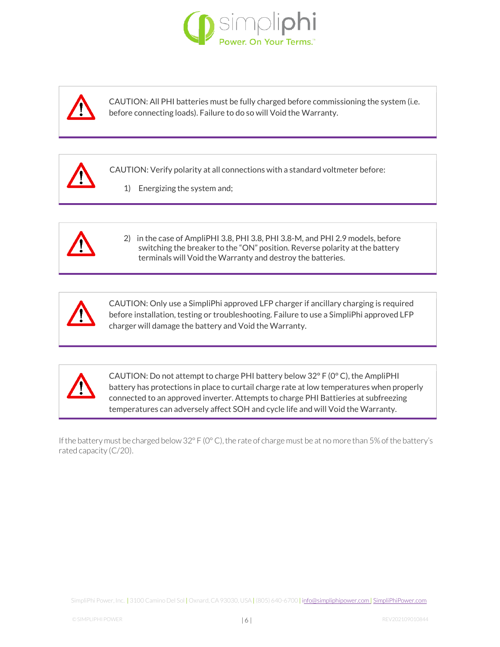



CAUTION: All PHI batteries must be fully charged before commissioning the system (i.e. before connecting loads). Failure to do so will Void the Warranty.



CAUTION: Verify polarity at all connections with a standard voltmeter before:

1) Energizing the system and;



2) in the case of AmpliPHI 3.8, PHI 3.8, PHI 3.8-M, and PHI 2.9 models, before switching the breaker to the "ON" position. Reverse polarity at the battery terminals will Void the Warranty and destroy the batteries.



CAUTION: Only use a SimpliPhi approved LFP charger if ancillary charging is required before installation, testing or troubleshooting. Failure to use a SimpliPhi approved LFP charger will damage the battery and Void the Warranty.



CAUTION: Do not attempt to charge PHI battery below 32° F (0° C), the AmpliPHI battery has protections in place to curtail charge rate at low temperatures when properly connected to an approved inverter. Attempts to charge PHI Battieries at subfreezing temperatures can adversely affect SOH and cycle life and will Void the Warranty.

If the battery must be charged below 32° F (0° C), the rate of charge must be at no more than 5% of the battery's rated capacity (C/20).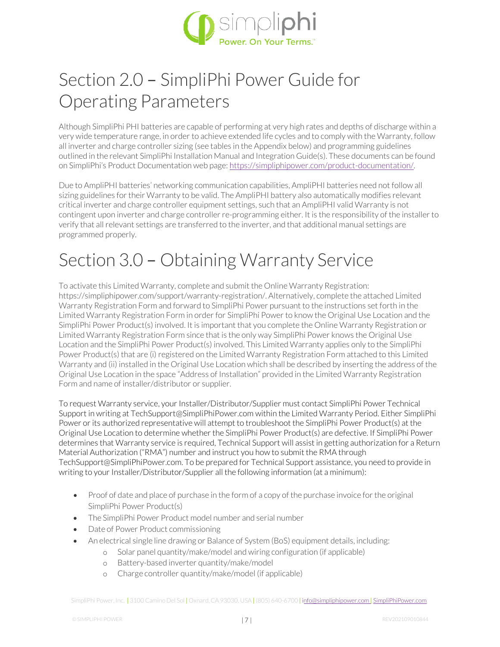

# Section 2.0 – SimpliPhi Power Guide for Operating Parameters

Although SimpliPhi PHI batteries are capable of performing at very high rates and depths of discharge within a very wide temperature range, in order to achieve extended life cycles and to comply with the Warranty, follow all inverter and charge controller sizing (see tables in the Appendix below) and programming guidelines outlined in the relevant SimpliPhi Installation Manual and Integration Guide(s). These documents can be found on SimpliPhi's Product Documentation web page: [https://simpliphipower.com/product-documentation/.](https://simpliphipower.com/product-documentation/)

Due to AmpliPHI batteries' networking communication capabilities, AmpliPHI batteries need not follow all sizing guidelines for their Warranty to be valid. The AmpliPHI battery also automatically modifies relevant critical inverter and charge controller equipment settings, such that an AmpliPHI valid Warranty is not contingent upon inverter and charge controller re-programming either. It is the responsibility of the installer to verify that all relevant settings are transferred to the inverter, and that additional manual settings are programmed properly.

### Section 3.0 – Obtaining Warranty Service

To activate this Limited Warranty, complete and submit the Online Warranty Registration: https://simpliphipower.com/support/warranty-registration/. Alternatively, complete the attached Limited Warranty Registration Form and forward to SimpliPhi Power pursuant to the instructions set forth in the Limited Warranty Registration Form in order for SimpliPhi Power to know the Original Use Location and the SimpliPhi Power Product(s) involved. It is important that you complete the Online Warranty Registration or Limited Warranty Registration Form since that is the only way SimpliPhi Power knows the Original Use Location and the SimpliPhi Power Product(s) involved. This Limited Warranty applies only to the SimpliPhi Power Product(s) that are (i) registered on the Limited Warranty Registration Form attached to this Limited Warranty and (ii) installed in the Original Use Location which shall be described by inserting the address of the Original Use Location in the space "Address of Installation" provided in the Limited Warranty Registration Form and name of installer/distributor or supplier.

To request Warranty service, your Installer/Distributor/Supplier must contact SimpliPhi Power Technical Support in writing a[t TechSupport@SimpliPhiPower.com w](mailto:TechSupport@SimpliPhiPower.com)ithin the Limited Warranty Period. Either SimpliPhi Power or its authorized representative will attempt to troubleshoot the SimpliPhi Power Product(s) at the Original Use Location to determine whether the SimpliPhi Power Product(s) are defective. If SimpliPhi Power determines that Warranty service is required, Technical Support will assist in getting authorization for a Return Material Authorization ("RMA") number and instruct you how to submit the RMA through [TechSupport@SimpliPhiPower.com. T](mailto:TechSupport@SimpliPhiPower.com)o be prepared for Technical Support assistance, you need to provide in writing to your Installer/Distributor/Supplier all the following information (at a minimum):

- Proof of date and place of purchase in the form of a copy of the purchase invoice for the original SimpliPhi Power Product(s)
- The SimpliPhi Power Product model number and serial number
- Date of Power Product commissioning
- An electrical single line drawing or Balance of System (BoS) equipment details, including:
	- o Solar panel quantity/make/model and wiring configuration (if applicable)
		- o Battery-based inverter quantity/make/model
		- o Charge controller quantity/make/model (if applicable)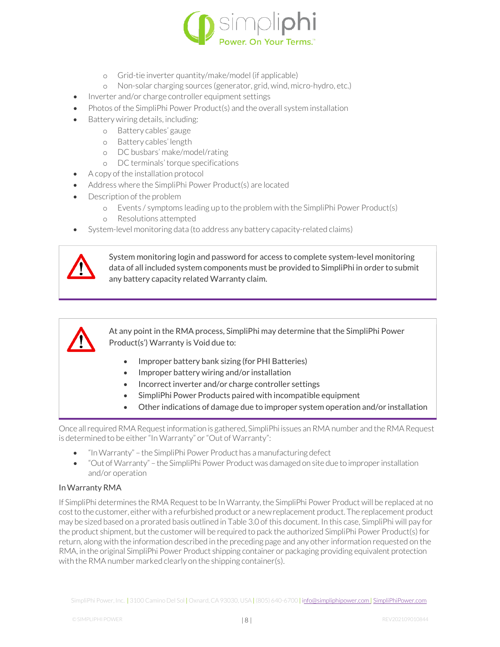

- o Grid-tie inverter quantity/make/model (if applicable)
- o Non-solar charging sources (generator, grid, wind, micro-hydro, etc.)
- Inverter and/or charge controller equipment settings
- Photos of the SimpliPhi Power Product(s) and the overall system installation
- Battery wiring details, including:
	- o Battery cables' gauge
	- o Battery cables' length
	- o DC busbars' make/model/rating
	- o DC terminals'torque specifications
- A copy of the installation protocol
- Address where the SimpliPhi Power Product(s) are located
- Description of the problem
	- o Events / symptoms leading up to the problem with the SimpliPhi Power Product(s)
	- o Resolutions attempted
- System-level monitoring data (to address any battery capacity-related claims)



System monitoring login and password for access to complete system-level monitoring data of all included system components must be provided to SimpliPhi in order to submit any battery capacity related Warranty claim.



At any point in the RMA process, SimpliPhi may determine that the SimpliPhi Power Product(s') Warranty is Void due to:

- Improper battery bank sizing (for PHI Batteries)
- Improper battery wiring and/or installation
- Incorrect inverter and/or charge controller settings
- SimpliPhi Power Products paired with incompatible equipment
- Other indications of damage due to improper system operation and/or installation

Once allrequiredRMA Requestinformation is gathered, SimpliPhi issues an RMA number and theRMA Request is determined to be either "In Warranty" or "Out of Warranty":

- "InWarranty" the SimpliPhi Power Product has a manufacturing defect
- "Out of Warranty" the SimpliPhi Power Product was damaged on site due to improperinstallation and/or operation

#### InWarranty RMA

If SimpliPhi determines the RMA Request to be In Warranty, the SimpliPhi Power Product will be replaced at no costto the customer, eitherwith a refurbished product or a newreplacement product. The replacement product may be sized based on a prorated basis outlined in Table 3.0 of this document. In this case, SimpliPhi will pay for the product shipment, but the customer will be required to pack the authorized SimpliPhi Power Product(s) for return, along with the information described in the preceding page and any other information requested on the RMA, in the original SimpliPhi Power Product shipping container or packaging providing equivalent protection with the RMA number marked clearly on the shipping container(s).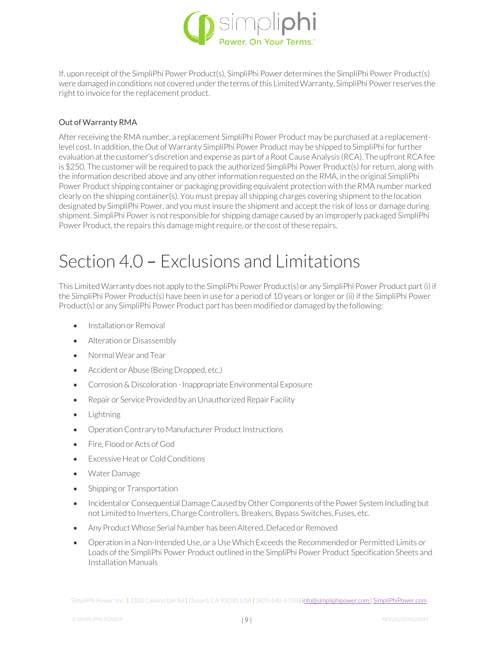

If, upon receipt of the SimpliPhi Power Product(s), SimpliPhi Power determines the SimpliPhi Power Product(s) were damaged in conditions not covered under the terms of this Limited Warranty, SimpliPhi Power reserves the right to invoice for the replacement product.

#### Out of Warranty RMA

After receiving the RMA number, a replacement SimpliPhi Power Product may be purchased at a replacementlevel cost. In addition, the Out of Warranty SimpliPhi Power Product may be shipped to SimpliPhi for further evaluation at the customer's discretion and expense as part of a Root Cause Analysis (RCA). The upfront RCA fee is \$250. The customer will be required to pack the authorized SimpliPhi Power Product(s) for return, along with the information described above and any other information requested on the RMA, in the original SimpliPhi Power Product shipping container or packaging providing equivalent protection with the RMA number marked clearly on the shipping container(s). You must prepay all shipping charges covering shipment to the location designated by SimpliPhi Power, and you must insure the shipment and accept the risk of loss or damage during shipment. SimpliPhi Power is not responsible for shipping damage caused by an improperly packaged SimpliPhi Power Product, the repairs this damage might require, or the cost of these repairs.

### Section 4.0 – Exclusions and Limitations

This LimitedWarranty does not apply to the SimpliPhi Power Product(s) or any SimpliPhi Power Product part(i) if the SimpliPhi Power Product(s) have been in use for a period of 10 years or longer or (ii) if the SimpliPhi Power Product(s) or any SimpliPhi Power Product part has been modified or damaged by the following:

- **Installation or Removal**
- Alteration or Disassembly
- NormalWear andTear
- Accident or Abuse (Being Dropped, etc.)
- Corrosion & Discoloration Inappropriate Environmental Exposure
- Repair or Service Provided by an Unauthorized Repair Facility
- Lightning
- Operation Contrary to Manufacturer Product Instructions
- Fire, Flood or Acts of God
- **Excessive Heat or Cold Conditions**
- Water Damage
- Shipping or Transportation
- Incidental or Consequential Damage Caused by Other Components of the Power System Including but not Limited to Inverters, Charge Controllers, Breakers, Bypass Switches, Fuses, etc.
- Any Product Whose Serial Number has been Altered, Defaced or Removed
- Operation in a Non-Intended Use, or a Use Which Exceeds the Recommended or Permitted Limits or Loads ofthe SimpliPhi Power Product outlined in the SimpliPhi Power Product Specification Sheets and Installation Manuals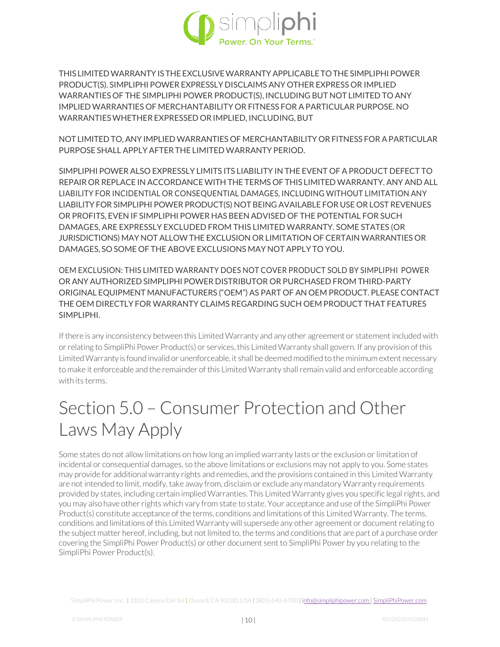

THIS LIMITEDWARRANTY ISTHE EXCLUSIVEWARRANTYAPPLICABLE TO THE SIMPLIPHI POWER PRODUCT(S). SIMPLIPHI POWER EXPRESSLY DISCLAIMS ANY OTHER EXPRESS OR IMPLIED WARRANTIES OF THE SIMPLIPHI POWER PRODUCT(S), INCLUDING BUT NOT LIMITED TO ANY IMPLIED WARRANTIES OF MERCHANTABILITY OR FITNESS FOR A PARTICULAR PURPOSE. NO WARRANTIESWHETHEREXPRESSED ORIMPLIED, INCLUDING, BUT

NOT LIMITED TO, ANY IMPLIED WARRANTIES OF MERCHANTABILITY OR FITNESS FOR A PARTICULAR PURPOSE SHALL APPLY AFTER THE LIMITED WARRANTY PERIOD.

SIMPLIPHI POWER ALSO EXPRESSLY LIMITS ITS LIABILITY IN THE EVENT OF A PRODUCT DEFECT TO REPAIR OR REPLACE IN ACCORDANCE WITH THE TERMS OF THIS LIMITED WARRANTY. ANY AND ALL LIABILITY FOR INCIDENTIAL OR CONSEQUENTIAL DAMAGES, INCLUDING WITHOUT LIMITATION ANY LIABILITY FOR SIMPLIPHI POWER PRODUCT(S) NOT BEING AVAILABLE FOR USE OR LOST REVENUES OR PROFITS, EVEN IF SIMPLIPHI POWER HAS BEEN ADVISED OF THE POTENTIAL FOR SUCH DAMAGES, ARE EXPRESSLY EXCLUDED FROM THIS LIMITED WARRANTY. SOME STATES (OR JURISDICTIONS) MAY NOT ALLOW THE EXCLUSION OR LIMITATION OF CERTAIN WARRANTIES OR DAMAGES, SO SOME OF THEABOVE EXCLUSIONS MAY NOT APPLY TO YOU.

OEM EXCLUSION: THIS LIMITED WARRANTY DOES NOT COVER PRODUCT SOLD BY SIMPLIPHI POWER OR ANY AUTHORIZED SIMPLIPHI POWER DISTRIBUTOR OR PURCHASED FROM THIRD-PARTY ORIGINAL EQUIPMENT MANUFACTURERS ("OEM") AS PART OF AN OEM PRODUCT. PLEASE CONTACT THE OEM DIRECTLY FOR WARRANTY CLAIMS REGARDING SUCH OEM PRODUCT THAT FEATURES SIMPLIPHI.

If there is any inconsistency between this Limited Warranty and any other agreement or statement included with or relating to SimpliPhi Power Product(s) or services, this Limited Warranty shall govern. If any provision of this Limited Warranty is found invalid or unenforceable, it shall be deemed modified to the minimum extent necessary to make it enforceable and the remainder of this Limited Warranty shall remain valid and enforceable according with its terms.

# Section 5.0 – Consumer Protection and Other Laws May Apply

Some states do not allow limitations on how long an implied warranty lasts or the exclusion or limitation of incidental or consequential damages, so the above limitations or exclusions may not apply to you. Some states may provide for additional warranty rights and remedies, and the provisions contained in this Limited Warranty are not intended to limit, modify, take away from, disclaim or exclude any mandatory Warranty requirements provided by states, including certain implied Warranties. This Limited Warranty gives you specific legal rights, and you may also have other rights which vary from state to state. Your acceptance and use of the SimpliPhi Power Product(s) constitute acceptance of the terms, conditions and limitations of this Limited Warranty. The terms, conditions and limitations of this Limited Warranty will supersede any other agreement or document relating to the subject matter hereof, including, but not limited to, the terms and conditions that are part of a purchase order covering the SimpliPhi Power Product(s) or other document sent to SimpliPhi Power by you relating to the SimpliPhi Power Product(s).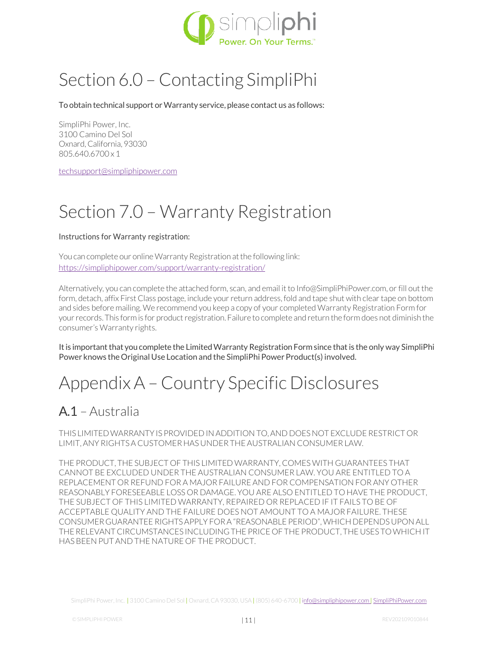

# Section 6.0 – Contacting SimpliPhi

To obtain technical support or Warranty service, please contact us as follows:

SimpliPhi Power, Inc. 3100 Camino Del Sol Oxnard, California, 93030 805.640.6700 x 1

[techsupport@simpliphipower.com](mailto:techsupport@simpliphipower.com)

### Section 7.0 – Warranty Registration

#### Instructions for Warranty registration:

You can complete our online Warranty Registration at the following link: <https://simpliphipower.com/support/warranty-registration/>

Alternatively, you can complete the attached form, scan, and email it t[o Info@SimpliPhiPower.com, o](mailto:Info@SimpliPhiPower.com)r fill out the form, detach, affix First Class postage, include your return address, fold and tape shut with clear tape on bottom and sides before mailing. We recommend you keep a copy of your completed Warranty Registration Form for your records. This form is for product registration. Failure to complete and return the form does not diminish the consumer's Warranty rights.

It is important that you complete the Limited Warranty Registration Form since that is the only way SimpliPhi Power knows the Original Use Location and the SimpliPhi Power Product(s) involved.

### Appendix A – Country Specific Disclosures

### A.1 – Australia

THIS LIMITEDWARRANTYIS PROVIDED IN ADDITION TO,AND DOES NOT EXCLUDE RESTRICT OR LIMIT, ANY RIGHTS A CUSTOMER HAS UNDERTHEAUSTRALIAN CONSUMERLAW.

THE PRODUCT, THE SUBJECT OF THIS LIMITED WARRANTY, COMES WITH GUARANTEES THAT CANNOT BE EXCLUDED UNDER THE AUSTRALIAN CONSUMER LAW. YOU ARE ENTITLED TO A REPLACEMENT OR REFUND FOR A MAJOR FAILURE AND FOR COMPENSATION FOR ANY OTHER REASONABLY FORESEEABLE LOSS OR DAMAGE. YOU ARE ALSO ENTITLED TO HAVE THE PRODUCT, THE SUBJECT OF THIS LIMITED WARRANTY, REPAIRED OR REPLACED IF IT FAILS TO BE OF ACCEPTABLE QUALITY AND THE FAILURE DOES NOT AMOUNT TO A MAJOR FAILURE. THESE CONSUMERGUARANTEE RIGHTSAPPLY FOR A "REASONABLE PERIOD",WHICHDEPENDS UPON ALL THERELEVANT CIRCUMSTANCES INCLUDINGTHE PRICE OF THE PRODUCT, THE USES TOWHICH IT HAS BEEN PUT AND THE NATURE OF THE PRODUCT.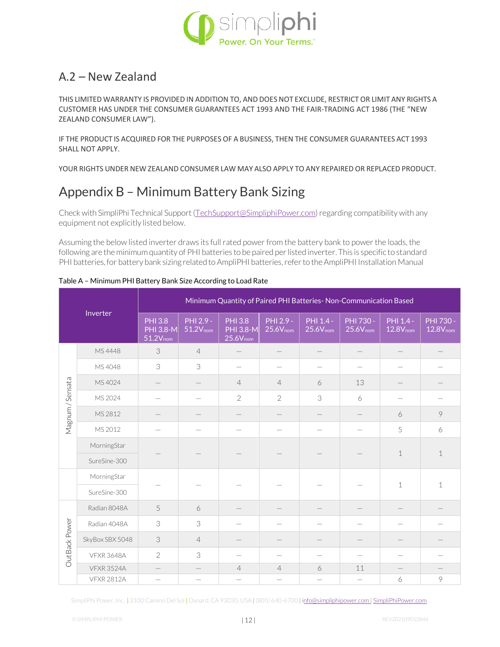

#### A.2 – New Zealand

THIS LIMITED WARRANTY IS PROVIDED IN ADDITION TO, AND DOES NOT EXCLUDE, RESTRICT OR LIMIT ANY RIGHTS A CUSTOMER HAS UNDER THE CONSUMER GUARANTEES ACT 1993 AND THE FAIR-TRADING ACT 1986 (THE "NEW ZEALAND CONSUMER LAW").

IF THE PRODUCT IS ACQUIRED FOR THE PURPOSES OF A BUSINESS, THEN THE CONSUMER GUARANTEES ACT 1993 SHALL NOT APPLY.

YOUR RIGHTS UNDER NEW ZEALAND CONSUMER LAW MAY ALSO APPLY TO ANY REPAIRED OR REPLACED PRODUCT.

### Appendix B – Minimum Battery Bank Sizing

Check with SimpliPhi Technical Support [\(TechSupport@SimpliphiPower.com\) r](mailto:TechSupport@SimpliphiPower.com)egarding compatibility with any equipment not explicitly listed below.

Assuming the below listed inverter draws its full rated power from the battery bank to power the loads, the following are the minimum quantity of PHI batteries to be paired per listed inverter. This is specific to standard PHI batteries, for battery bank sizing related to AmpliPHI batteries, refer to the AmpliPHI Installation Manual

| Inverter         |                   | Minimum Quantity of Paired PHI Batteries- Non-Communication Based |                                   |                                              |                                   |                            |                                          |                                     |                                   |  |  |
|------------------|-------------------|-------------------------------------------------------------------|-----------------------------------|----------------------------------------------|-----------------------------------|----------------------------|------------------------------------------|-------------------------------------|-----------------------------------|--|--|
|                  |                   | <b>PHI 3.8</b><br><b>PHI 3.8-M</b><br>$51.2V_{nom}$               | PHI 2.9 -<br>51.2V <sub>nom</sub> | <b>PHI</b> 3.8<br>PHI 3.8-M<br>$25.6V_{nom}$ | PHI 2.9 -<br>25.6V <sub>nom</sub> | PHI 1.4 -<br>$25.6V_{nom}$ | <b>PHI 730 -</b><br>25.6V <sub>nom</sub> | $PHI$ 1.4 -<br>12.8V <sub>nom</sub> | PHI 730 -<br>12.8V <sub>nom</sub> |  |  |
|                  | MS4448            | 3                                                                 | $\overline{4}$                    |                                              |                                   |                            |                                          |                                     |                                   |  |  |
|                  | MS 4048           | 3                                                                 | 3                                 |                                              |                                   |                            |                                          |                                     |                                   |  |  |
|                  | MS 4024           |                                                                   |                                   | $\overline{4}$                               | $\overline{4}$                    | 6                          | 13                                       |                                     |                                   |  |  |
|                  | MS 2024           |                                                                   |                                   | $\overline{2}$                               | $\overline{2}$                    | 3                          | 6                                        |                                     |                                   |  |  |
| Magnum / Sensata | MS 2812           |                                                                   |                                   |                                              |                                   |                            |                                          | 6                                   | 9                                 |  |  |
|                  | MS 2012           |                                                                   |                                   |                                              |                                   |                            |                                          | 5                                   | 6                                 |  |  |
|                  | MorningStar       |                                                                   |                                   |                                              |                                   |                            |                                          | $\mathbf 1$                         | $\mathbf{1}$                      |  |  |
|                  | SureSine-300      |                                                                   |                                   |                                              |                                   |                            |                                          |                                     |                                   |  |  |
|                  | MorningStar       |                                                                   |                                   |                                              |                                   |                            |                                          | $\mathbf 1$                         | 1                                 |  |  |
|                  | SureSine-300      |                                                                   |                                   |                                              |                                   |                            |                                          |                                     |                                   |  |  |
|                  | Radian 8048A      | 5                                                                 | 6                                 |                                              |                                   |                            |                                          |                                     |                                   |  |  |
|                  | Radian 4048A      | 3                                                                 | 3                                 |                                              |                                   |                            |                                          |                                     |                                   |  |  |
|                  | SkyBox SBX 5048   | 3                                                                 | $\overline{4}$                    |                                              |                                   |                            |                                          |                                     |                                   |  |  |
| OutBack Power    | <b>VFXR 3648A</b> | $\overline{2}$                                                    | 3                                 |                                              |                                   |                            |                                          |                                     |                                   |  |  |
|                  | <b>VFXR 3524A</b> | $\qquad \qquad$                                                   |                                   | $\overline{4}$                               | $\overline{4}$                    | 6                          | 11                                       |                                     |                                   |  |  |
|                  | <b>VFXR 2812A</b> |                                                                   |                                   |                                              |                                   |                            |                                          | 6                                   | 9                                 |  |  |

Table A – Minimum PHI Battery Bank Size According to Load Rate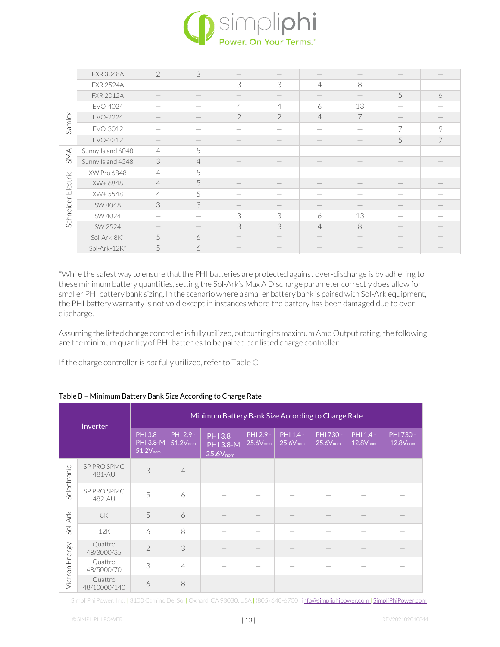

|                    | <b>FXR 3048A</b>  | $\mathcal{P}$              | 3              |                          |                          |                                 |                          |                                 |   |
|--------------------|-------------------|----------------------------|----------------|--------------------------|--------------------------|---------------------------------|--------------------------|---------------------------------|---|
|                    | <b>FXR 2524A</b>  | $\overline{\phantom{a}}$   | -              | 3                        | 3                        | $\overline{4}$                  | 8                        |                                 |   |
|                    | <b>FXR 2012A</b>  |                            |                |                          |                          |                                 |                          | 5                               | 6 |
|                    | EVO-4024          |                            |                | $\overline{4}$           | $\overline{4}$           | 6                               | 13                       |                                 |   |
|                    | EVO-2224          |                            | _              | $\overline{2}$           | $\overline{2}$           | $\overline{4}$                  | $\overline{7}$           | $\hspace{0.1mm}-\hspace{0.1mm}$ |   |
| Samlex             | EVO-3012          |                            |                |                          |                          |                                 |                          | 7                               | 9 |
|                    | EVO-2212          |                            |                |                          |                          |                                 |                          | 5                               | 7 |
| SMA                | Sunny Island 6048 | $\overline{4}$             | 5              |                          |                          |                                 |                          |                                 |   |
|                    | Sunny Island 4548 | $\ensuremath{\mathcal{S}}$ | $\overline{4}$ |                          |                          | $\hspace{0.1mm}-\hspace{0.1mm}$ | $\overline{\phantom{a}}$ | $\hspace{0.1mm}-\hspace{0.1mm}$ |   |
|                    | XW Pro 6848       | $\overline{4}$             | 5              |                          |                          |                                 |                          |                                 |   |
| Schneider Electric | XW+6848           | $\overline{4}$             | 5              | $\overline{\phantom{a}}$ | $\overline{\phantom{a}}$ |                                 |                          | $\hspace{0.1mm}-\hspace{0.1mm}$ |   |
|                    | XW+5548           | $\overline{4}$             | 5              |                          |                          |                                 |                          |                                 |   |
|                    | SW 4048           | 3                          | 3              |                          |                          |                                 |                          |                                 |   |
|                    | SW 4024           | -                          |                | 3                        | 3                        | 6                               | 13                       |                                 |   |
|                    | SW 2524           |                            |                | 3                        | 3                        | $\overline{4}$                  | 8                        |                                 |   |
|                    | Sol-Ark-8K*       | 5                          | 6              |                          |                          |                                 |                          |                                 |   |
|                    | Sol-Ark-12K*      | 5                          | 6              |                          |                          |                                 |                          |                                 |   |

\*While the safest way to ensure that the PHI batteries are protected against over-discharge is by adhering to these minimum battery quantities, setting the Sol-Ark's Max A Discharge parameter correctly does allow for smaller PHI battery bank sizing. In the scenario where a smaller battery bank is paired with Sol-Ark equipment, the PHI battery warranty is not void except in instances where the battery has been damaged due to overdischarge.

Assuming the listed charge controller is fully utilized, outputting its maximum Amp Output rating, the following are the minimum quantity of PHI batteries to be paired per listed charge controller

If the charge controller is not fully utilized, refer to Table C.

| Inverter       |                         | Minimum Battery Bank Size According to Charge Rate         |                            |                                                     |                            |                                   |                            |                            |                            |  |
|----------------|-------------------------|------------------------------------------------------------|----------------------------|-----------------------------------------------------|----------------------------|-----------------------------------|----------------------------|----------------------------|----------------------------|--|
|                |                         | <b>PHI 3.8</b><br><b>PHI 3.8-M</b><br>51.2V <sub>nom</sub> | PHI 2.9 -<br>$51.2V_{nom}$ | <b>PHI 3.8</b><br><b>PHI 3.8-M</b><br>$25.6V_{nom}$ | PHI 2.9 -<br>$25.6V_{nom}$ | PHI 1.4 -<br>$25.6V_{\text{nom}}$ | PHI 730 -<br>$25.6V_{nom}$ | PHI 1.4 -<br>$12.8V_{nom}$ | PHI 730 -<br>$12.8V_{nom}$ |  |
| Selectronic    | SP PRO SPMC<br>481-AU   | 3                                                          | $\overline{4}$             |                                                     |                            |                                   |                            |                            |                            |  |
|                | SP PRO SPMC<br>482-AU   | 5                                                          | 6                          |                                                     |                            |                                   |                            |                            |                            |  |
| $Sol-Ark$      | <b>8K</b>               | 5                                                          | 6                          |                                                     |                            |                                   |                            |                            |                            |  |
|                | 12K                     | 6                                                          | 8                          |                                                     |                            |                                   |                            |                            |                            |  |
|                | Quattro<br>48/3000/35   | $\overline{2}$                                             | 3                          |                                                     |                            |                                   |                            |                            |                            |  |
| Victron Energy | Quattro<br>48/5000/70   | 3                                                          | $\overline{4}$             |                                                     |                            |                                   |                            |                            |                            |  |
|                | Quattro<br>48/10000/140 | 6                                                          | 8                          |                                                     |                            |                                   |                            |                            |                            |  |

#### Table B – Minimum Battery Bank Size According to Charge Rate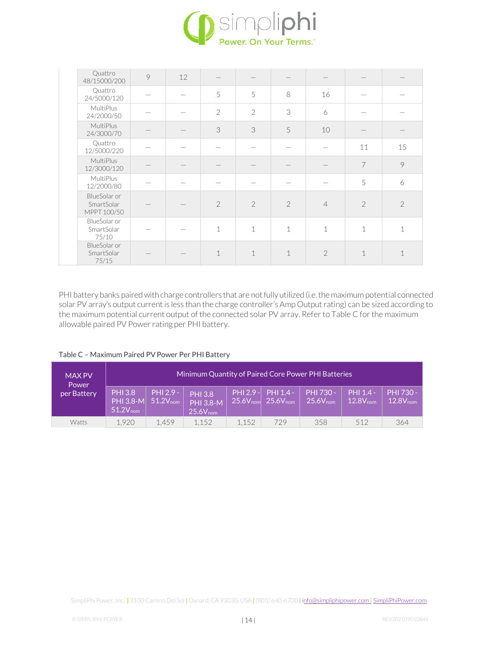

| Quattro<br>48/15000/200                   | 9 | 12 |                |                |               |                |                |               |
|-------------------------------------------|---|----|----------------|----------------|---------------|----------------|----------------|---------------|
| Quattro<br>24/5000/120                    |   |    | 5              | 5              | 8             | 16             |                |               |
| MultiPlus<br>24/2000/50                   |   |    | $\mathcal{P}$  | $\mathcal{P}$  | 3             | 6              |                |               |
| MultiPlus<br>24/3000/70                   |   |    | 3              | 3              | 5             | 10             |                |               |
| Quattro<br>12/5000/220                    |   |    |                |                |               |                | 11             | 15            |
| <b>MultiPlus</b><br>12/3000/120           |   |    |                |                |               |                | 7              | 9             |
| MultiPlus<br>12/2000/80                   |   |    |                |                |               |                | 5              | 6             |
| BlueSolar or<br>SmartSolar<br>MPPT 100/50 |   |    | $\overline{2}$ | $\overline{2}$ | $\mathcal{P}$ | $\overline{4}$ | $\overline{2}$ | $\mathcal{P}$ |
| BlueSolar or<br>SmartSolar<br>75/10       |   |    | $\mathbf 1$    | 1              | 1             | $\mathbf 1$    | 1              | 1             |
| BlueSolar or<br>SmartSolar<br>75/15       |   |    | 1              | 1              | 1             | $\mathcal{P}$  | 1              | 1             |

PHI battery banks paired with charge controllers that are not fully utilized (i.e. the maximum potential connected solar PV array's output current is less than the charge controller's Amp Output rating) can be sized according to the maximum potential current output of the connected solar PV array. Refer to Table C for the maximum allowable paired PV Power rating per PHI battery.

| Table C - Maximum Paired PV Power Per PHI Battery |  |  |
|---------------------------------------------------|--|--|
|---------------------------------------------------|--|--|

| <b>MAX PV</b><br>Power |                                                            | Minimum Quantity of Paired Core Power PHI Batteries |                                                            |                      |                                                   |                                   |                            |                            |
|------------------------|------------------------------------------------------------|-----------------------------------------------------|------------------------------------------------------------|----------------------|---------------------------------------------------|-----------------------------------|----------------------------|----------------------------|
| per Battery            | <b>PHI 3.8</b><br><b>PHI 3.8-M</b><br>$51.2V_{\text{nom}}$ | PHI 2.9 -<br>$51.2V_{nom}$                          | <b>PHI 3.8</b><br><b>PHI 3.8-M</b><br>$25.6V_{\text{nom}}$ | $25.6V_{\text{nom}}$ | $PHI 2.9 - I PHI 1.4 - I$<br>$25.6V_{\text{nom}}$ | PHI 730 -<br>$25.6V_{\text{nom}}$ | PHI 1.4 -<br>$12.8V_{nom}$ | PHI 730 -<br>$12.8V_{nom}$ |
| <b>Watts</b>           | 1.920                                                      | 1.459                                               | 1.152                                                      | 1.152                | 729                                               | 358                               | 512                        | 364                        |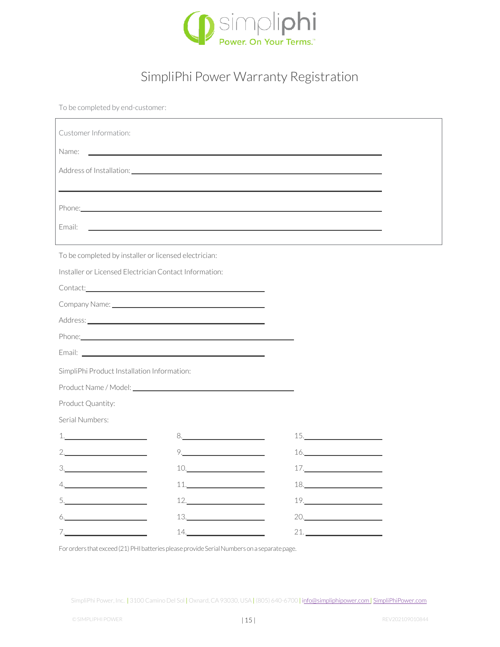

### SimpliPhi Power Warranty Registration

To be completed by end-customer:

| Customer Information:                                                                                                                                                                                                                                                                                                                                                                                                                                                                                            |                                                                                                                                                                                                                                                                                                                                                                                                                                               |                                                                                                                                                                                                                                                                                                                                                                                                                                                                         |  |  |  |  |
|------------------------------------------------------------------------------------------------------------------------------------------------------------------------------------------------------------------------------------------------------------------------------------------------------------------------------------------------------------------------------------------------------------------------------------------------------------------------------------------------------------------|-----------------------------------------------------------------------------------------------------------------------------------------------------------------------------------------------------------------------------------------------------------------------------------------------------------------------------------------------------------------------------------------------------------------------------------------------|-------------------------------------------------------------------------------------------------------------------------------------------------------------------------------------------------------------------------------------------------------------------------------------------------------------------------------------------------------------------------------------------------------------------------------------------------------------------------|--|--|--|--|
| Name:                                                                                                                                                                                                                                                                                                                                                                                                                                                                                                            |                                                                                                                                                                                                                                                                                                                                                                                                                                               |                                                                                                                                                                                                                                                                                                                                                                                                                                                                         |  |  |  |  |
| Address of Installation: Note that the set of the set of the set of the set of the set of the set of the set of                                                                                                                                                                                                                                                                                                                                                                                                  |                                                                                                                                                                                                                                                                                                                                                                                                                                               |                                                                                                                                                                                                                                                                                                                                                                                                                                                                         |  |  |  |  |
|                                                                                                                                                                                                                                                                                                                                                                                                                                                                                                                  |                                                                                                                                                                                                                                                                                                                                                                                                                                               |                                                                                                                                                                                                                                                                                                                                                                                                                                                                         |  |  |  |  |
|                                                                                                                                                                                                                                                                                                                                                                                                                                                                                                                  |                                                                                                                                                                                                                                                                                                                                                                                                                                               |                                                                                                                                                                                                                                                                                                                                                                                                                                                                         |  |  |  |  |
| Email:                                                                                                                                                                                                                                                                                                                                                                                                                                                                                                           |                                                                                                                                                                                                                                                                                                                                                                                                                                               |                                                                                                                                                                                                                                                                                                                                                                                                                                                                         |  |  |  |  |
|                                                                                                                                                                                                                                                                                                                                                                                                                                                                                                                  |                                                                                                                                                                                                                                                                                                                                                                                                                                               |                                                                                                                                                                                                                                                                                                                                                                                                                                                                         |  |  |  |  |
| To be completed by installer or licensed electrician:                                                                                                                                                                                                                                                                                                                                                                                                                                                            |                                                                                                                                                                                                                                                                                                                                                                                                                                               |                                                                                                                                                                                                                                                                                                                                                                                                                                                                         |  |  |  |  |
| Installer or Licensed Electrician Contact Information:                                                                                                                                                                                                                                                                                                                                                                                                                                                           |                                                                                                                                                                                                                                                                                                                                                                                                                                               |                                                                                                                                                                                                                                                                                                                                                                                                                                                                         |  |  |  |  |
| Contact: Contact:                                                                                                                                                                                                                                                                                                                                                                                                                                                                                                |                                                                                                                                                                                                                                                                                                                                                                                                                                               |                                                                                                                                                                                                                                                                                                                                                                                                                                                                         |  |  |  |  |
| Company Name: 2008 Company Name:                                                                                                                                                                                                                                                                                                                                                                                                                                                                                 |                                                                                                                                                                                                                                                                                                                                                                                                                                               |                                                                                                                                                                                                                                                                                                                                                                                                                                                                         |  |  |  |  |
|                                                                                                                                                                                                                                                                                                                                                                                                                                                                                                                  |                                                                                                                                                                                                                                                                                                                                                                                                                                               |                                                                                                                                                                                                                                                                                                                                                                                                                                                                         |  |  |  |  |
| Phone: <u>Alexander School (Alexander School) and the second second second second second second second second second second second second second second second second second second second second second second second second se</u>                                                                                                                                                                                                                                                                             |                                                                                                                                                                                                                                                                                                                                                                                                                                               |                                                                                                                                                                                                                                                                                                                                                                                                                                                                         |  |  |  |  |
|                                                                                                                                                                                                                                                                                                                                                                                                                                                                                                                  |                                                                                                                                                                                                                                                                                                                                                                                                                                               |                                                                                                                                                                                                                                                                                                                                                                                                                                                                         |  |  |  |  |
| SimpliPhi Product Installation Information:                                                                                                                                                                                                                                                                                                                                                                                                                                                                      |                                                                                                                                                                                                                                                                                                                                                                                                                                               |                                                                                                                                                                                                                                                                                                                                                                                                                                                                         |  |  |  |  |
| Product Name / Model: 2008 - 2009 - 2010 - 2010 - 2010 - 2010 - 2010 - 2010 - 2010 - 2010 - 2010 - 2010 - 201                                                                                                                                                                                                                                                                                                                                                                                                    |                                                                                                                                                                                                                                                                                                                                                                                                                                               |                                                                                                                                                                                                                                                                                                                                                                                                                                                                         |  |  |  |  |
| Product Quantity:                                                                                                                                                                                                                                                                                                                                                                                                                                                                                                |                                                                                                                                                                                                                                                                                                                                                                                                                                               |                                                                                                                                                                                                                                                                                                                                                                                                                                                                         |  |  |  |  |
| Serial Numbers:                                                                                                                                                                                                                                                                                                                                                                                                                                                                                                  |                                                                                                                                                                                                                                                                                                                                                                                                                                               |                                                                                                                                                                                                                                                                                                                                                                                                                                                                         |  |  |  |  |
| 1.                                                                                                                                                                                                                                                                                                                                                                                                                                                                                                               | $8. \qquad \qquad 8. \qquad \qquad$                                                                                                                                                                                                                                                                                                                                                                                                           | $15.$ $\overline{\phantom{a}}$ $\overline{\phantom{a}}$ $\overline{\phantom{a}}$ $\overline{\phantom{a}}$ $\overline{\phantom{a}}$ $\overline{\phantom{a}}$ $\overline{\phantom{a}}$ $\overline{\phantom{a}}$ $\overline{\phantom{a}}$ $\overline{\phantom{a}}$ $\overline{\phantom{a}}$ $\overline{\phantom{a}}$ $\overline{\phantom{a}}$ $\overline{\phantom{a}}$ $\overline{\phantom{a}}$ $\overline{\phantom{a}}$ $\overline{\phantom{a}}$ $\overline{\phantom{a}}$ |  |  |  |  |
| 2.                                                                                                                                                                                                                                                                                                                                                                                                                                                                                                               | $9. \qquad \qquad 9. \qquad \qquad 9. \qquad \qquad 9. \qquad \qquad 9. \qquad \qquad 9. \qquad \qquad 9. \qquad \qquad 3. \qquad \qquad 3. \qquad \qquad 3. \qquad \qquad 3. \qquad \qquad 3. \qquad \qquad 3. \qquad \qquad 3. \qquad \qquad 3. \qquad \qquad 3. \qquad \qquad 3. \qquad \qquad 3. \qquad \qquad 3. \qquad \qquad 3. \qquad \qquad 3. \qquad \qquad 3. \qquad \qquad 3. \qquad \qquad 3. \qquad \qquad 3. \q$               | $\begin{tabular}{c} 16. \end{tabular}$                                                                                                                                                                                                                                                                                                                                                                                                                                  |  |  |  |  |
| $\begin{array}{c} 3. \qquad \qquad \text{---} \qquad \qquad \text{---} \qquad \qquad \text{---} \qquad \qquad \text{---} \qquad \qquad \text{---} \qquad \qquad \text{---} \qquad \qquad \text{---} \qquad \qquad \text{---} \qquad \qquad \text{---} \qquad \qquad \text{---} \qquad \qquad \text{---} \qquad \text{---} \qquad \text{---} \qquad \text{---} \qquad \text{---} \qquad \text{---} \qquad \text{---} \qquad \text{---} \qquad \text{---} \qquad \text{---} \qquad \text{---} \qquad \text{---} \$ | $10. \qquad \qquad \overbrace{\qquad \qquad }$                                                                                                                                                                                                                                                                                                                                                                                                | 17.                                                                                                                                                                                                                                                                                                                                                                                                                                                                     |  |  |  |  |
| 4.                                                                                                                                                                                                                                                                                                                                                                                                                                                                                                               | $\begin{tabular}{c} 11. & \begin{tabular}{@{}c@{}} \hline \multicolumn{3}{@{}c@{}} \multicolumn{3}{@{}c@{}} \multicolumn{3}{@{}c@{}} \multicolumn{3}{@{}c@{}} \multicolumn{3}{@{}c@{}} \multicolumn{3}{@{}c@{}} \multicolumn{3}{@{}c@{}} \multicolumn{3}{@{}c@{}} \multicolumn{3}{@{}c@{}} \multicolumn{3}{@{}c@{}} \multicolumn{3}{@{}c@{}} \multicolumn{3}{@{}c@{}} \multicolumn{3}{@{}c@{}} \multicolumn{3}{@{}c@{}} \multicolumn{3}{@{}c$ | $\begin{array}{c} \n 18. \n \end{array}$                                                                                                                                                                                                                                                                                                                                                                                                                                |  |  |  |  |
|                                                                                                                                                                                                                                                                                                                                                                                                                                                                                                                  |                                                                                                                                                                                                                                                                                                                                                                                                                                               |                                                                                                                                                                                                                                                                                                                                                                                                                                                                         |  |  |  |  |
| $6. \underline{\hspace{2cm}}$                                                                                                                                                                                                                                                                                                                                                                                                                                                                                    |                                                                                                                                                                                                                                                                                                                                                                                                                                               | 20.                                                                                                                                                                                                                                                                                                                                                                                                                                                                     |  |  |  |  |
| 7.                                                                                                                                                                                                                                                                                                                                                                                                                                                                                                               | 14.                                                                                                                                                                                                                                                                                                                                                                                                                                           | 21.                                                                                                                                                                                                                                                                                                                                                                                                                                                                     |  |  |  |  |

For orders that exceed (21) PHI batteries please provide Serial Numbers on a separate page.